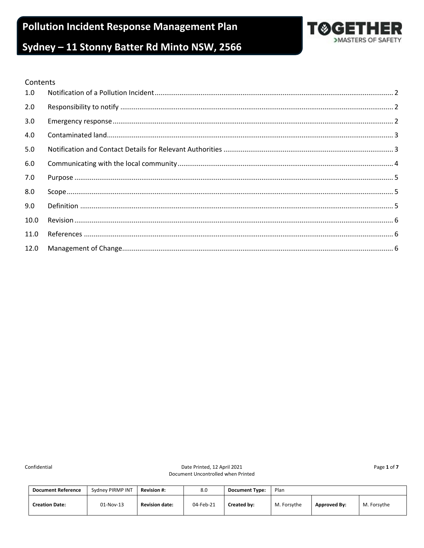**Pollution Incident Response Management Plan** 



# Sydney - 11 Stonny Batter Rd Minto NSW, 2566

#### Contents

| 1.0  |  |
|------|--|
| 2.0  |  |
| 3.0  |  |
| 4.0  |  |
| 5.0  |  |
| 6.0  |  |
| 7.0  |  |
| 8.0  |  |
| 9.0  |  |
| 10.0 |  |
| 11.0 |  |
| 12.0 |  |

Confidential

Date Printed, 12 April 2021 Document Uncontrolled when Printed Page 1 of 7

| <b>Document Reference</b> | Sydney PIRMP INT | <b>Revision #:</b>    | 8.0       | <b>Document Type:</b> | Plan        |                     |             |
|---------------------------|------------------|-----------------------|-----------|-----------------------|-------------|---------------------|-------------|
| <b>Creation Date:</b>     | 01-Nov-13        | <b>Revision date:</b> | 04-Feb-21 | Created by:           | M. Forsythe | <b>Approved By:</b> | M. Forsythe |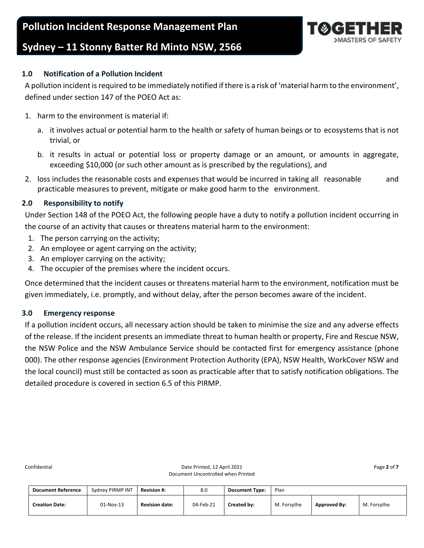**Pollution Incident Response Management Plan**



## **Sydney – 11 Stonny Batter Rd Minto NSW, 2566**

## <span id="page-1-0"></span>**1.0 Notification of a Pollution Incident**

A pollution incident is required to be immediately notified if there is a risk of 'material harm to the environment', defined under section 147 of the POEO Act as:

- 1. harm to the environment is material if:
	- a. it involves actual or potential harm to the health or safety of human beings or to ecosystems that is not trivial, or
	- b. it results in actual or potential loss or property damage or an amount, or amounts in aggregate, exceeding \$10,000 (or such other amount as is prescribed by the regulations), and
- 2. loss includes the reasonable costs and expenses that would be incurred in taking all reasonable and practicable measures to prevent, mitigate or make good harm to the environment.

## <span id="page-1-1"></span>**2.0 Responsibility to notify**

Under Section 148 of the POEO Act, the following people have a duty to notify a pollution incident occurring in the course of an activity that causes or threatens material harm to the environment:

- 1. The person carrying on the activity;
- 2. An employee or agent carrying on the activity;
- 3. An employer carrying on the activity;
- 4. The occupier of the premises where the incident occurs.

Once determined that the incident causes or threatens material harm to the environment, notification must be given immediately, i.e. promptly, and without delay, after the person becomes aware of the incident.

### <span id="page-1-2"></span>**3.0 Emergency response**

If a pollution incident occurs, all necessary action should be taken to minimise the size and any adverse effects of the release. If the incident presents an immediate threat to human health or property, Fire and Rescue NSW, the NSW Police and the NSW Ambulance Service should be contacted first for emergency assistance (phone 000). The other response agencies (Environment Protection Authority (EPA), NSW Health, WorkCover NSW and the local council) must still be contacted as soon as practicable after that to satisfy notification obligations. The detailed procedure is covered in section 6.5 of this PIRMP.

| <b>Document Reference</b> | Sydney PIRMP INT | <b>Revision #:</b>    | 8.0       | <b>Document Type:</b> | Plan        |                     |             |
|---------------------------|------------------|-----------------------|-----------|-----------------------|-------------|---------------------|-------------|
| <b>Creation Date:</b>     | 01-Nov-13        | <b>Revision date:</b> | 04-Feb-21 | Created by:           | M. Forsythe | <b>Approved By:</b> | M. Forsythe |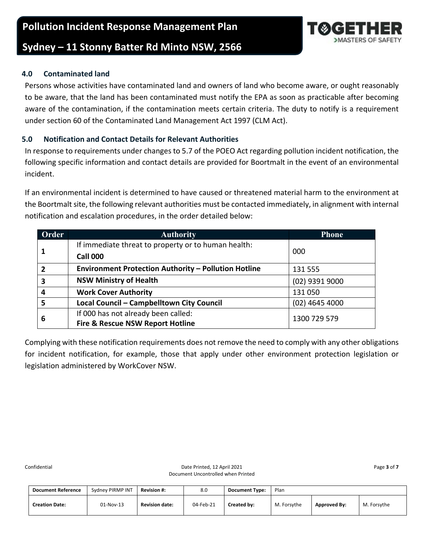## **Sydney – 11 Stonny Batter Rd Minto NSW, 2566**

## <span id="page-2-0"></span>**4.0 Contaminated land**

Persons whose activities have contaminated land and owners of land who become aware, or ought reasonably to be aware, that the land has been contaminated must notify the EPA as soon as practicable after becoming aware of the contamination, if the contamination meets certain criteria. The duty to notify is a requirement under section 60 of the Contaminated Land Management Act 1997 (CLM Act).

## <span id="page-2-1"></span>**5.0 Notification and Contact Details for Relevant Authorities**

In response to requirements under changes to 5.7 of the POEO Act regarding pollution incident notification, the following specific information and contact details are provided for Boortmalt in the event of an environmental incident.

If an environmental incident is determined to have caused or threatened material harm to the environment at the Boortmalt site, the following relevant authorities must be contacted immediately, in alignment with internal notification and escalation procedures, in the order detailed below:

| Order                   | <b>Authority</b>                                            | <b>Phone</b>     |
|-------------------------|-------------------------------------------------------------|------------------|
| -1                      | If immediate threat to property or to human health:         |                  |
|                         | <b>Call 000</b>                                             | 000              |
| $\overline{2}$          | <b>Environment Protection Authority - Pollution Hotline</b> | 131 555          |
| $\overline{\mathbf{3}}$ | <b>NSW Ministry of Health</b>                               | (02) 9391 9000   |
| $\overline{a}$          | <b>Work Cover Authority</b>                                 | 131 050          |
| 5                       | Local Council - Campbelltown City Council                   | $(02)$ 4645 4000 |
| 6                       | If 000 has not already been called:                         | 1300 729 579     |
|                         | <b>Fire &amp; Rescue NSW Report Hotline</b>                 |                  |

Complying with these notification requirements does not remove the need to comply with any other obligations for incident notification, for example, those that apply under other environment protection legislation or legislation administered by WorkCover NSW.

| <b>Document Reference</b> | Sydney PIRMP INT | <b>Revision #:</b>    | 8.0       | <b>Document Type:</b> | Plan        |                     |             |
|---------------------------|------------------|-----------------------|-----------|-----------------------|-------------|---------------------|-------------|
| <b>Creation Date:</b>     | 01-Nov-13        | <b>Revision date:</b> | 04-Feb-21 | Created by:           | M. Forsythe | <b>Approved By:</b> | M. Forsythe |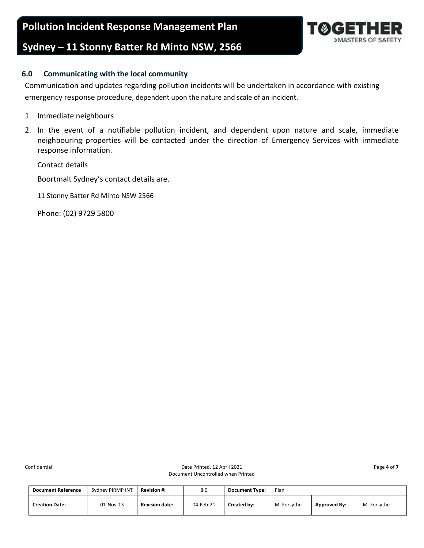**Pollution Incident Response Management Plan**

## **Sydney – 11 Stonny Batter Rd Minto NSW, 2566**



### <span id="page-3-0"></span>**6.0 Communicating with the local community**

Communication and updates regarding pollution incidents will be undertaken in accordance with existing emergency response procedure, dependent upon the nature and scale of an incident.

- 1. Immediate neighbours
- 2. In the event of a notifiable pollution incident, and dependent upon nature and scale, immediate neighbouring properties will be contacted under the direction of Emergency Services with immediate response information.

Contact details

Boortmalt Sydney's contact details are.

11 Stonny Batter Rd Minto NSW 2566

Phone: (02) 9729 5800

| <b>Document Reference</b> | Sydney PIRMP INT | <b>Revision #:</b>    | 8.0       | <b>Document Type:</b> | Plan        |                     |             |
|---------------------------|------------------|-----------------------|-----------|-----------------------|-------------|---------------------|-------------|
| <b>Creation Date:</b>     | 01-Nov-13        | <b>Revision date:</b> | 04-Feb-21 | Created by:           | M. Forsythe | <b>Approved By:</b> | M. Forsythe |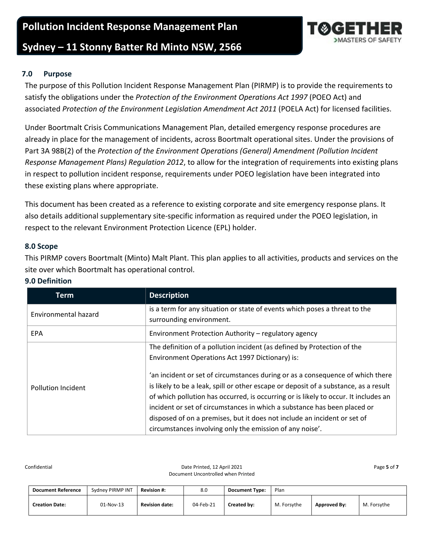## **Pollution Incident Response Management Plan**

## **Sydney – 11 Stonny Batter Rd Minto NSW, 2566**

## <span id="page-4-0"></span>**7.0 Purpose**

The purpose of this Pollution Incident Response Management Plan (PIRMP) is to provide the requirements to satisfy the obligations under the *Protection of the Environment Operations Act 1997* (POEO Act) and associated *Protection of the Environment Legislation Amendment Act 2011* (POELA Act) for licensed facilities.

Under Boortmalt Crisis Communications Management Plan, detailed emergency response procedures are already in place for the management of incidents, across Boortmalt operational sites. Under the provisions of Part 3A 98B(2) of the *Protection of the Environment Operations (General) Amendment (Pollution Incident Response Management Plans) Regulation 2012*, to allow for the integration of requirements into existing plans in respect to pollution incident response, requirements under POEO legislation have been integrated into these existing plans where appropriate.

This document has been created as a reference to existing corporate and site emergency response plans. It also details additional supplementary site-specific information as required under the POEO legislation, in respect to the relevant Environment Protection Licence (EPL) holder.

#### <span id="page-4-1"></span>**8.0 Scope**

This PIRMP covers Boortmalt (Minto) Malt Plant. This plan applies to all activities, products and services on the site over which Boortmalt has operational control.

| Term                      | <b>Description</b>                                                                   |
|---------------------------|--------------------------------------------------------------------------------------|
| Environmental hazard      | is a term for any situation or state of events which poses a threat to the           |
|                           | surrounding environment.                                                             |
| <b>EPA</b>                | Environment Protection Authority – regulatory agency                                 |
|                           | The definition of a pollution incident (as defined by Protection of the              |
|                           | Environment Operations Act 1997 Dictionary) is:                                      |
|                           | 'an incident or set of circumstances during or as a consequence of which there       |
| <b>Pollution Incident</b> | is likely to be a leak, spill or other escape or deposit of a substance, as a result |
|                           | of which pollution has occurred, is occurring or is likely to occur. It includes an  |
|                           | incident or set of circumstances in which a substance has been placed or             |
|                           | disposed of on a premises, but it does not include an incident or set of             |
|                           | circumstances involving only the emission of any noise'.                             |

### <span id="page-4-2"></span>**9.0 Definition**

| <b>Document Reference</b> | Sydney PIRMP INT | <b>Revision #:</b>    | 8.0       | <b>Document Type:</b> | Plan        |                     |             |
|---------------------------|------------------|-----------------------|-----------|-----------------------|-------------|---------------------|-------------|
| <b>Creation Date:</b>     | 01-Nov-13        | <b>Revision date:</b> | 04-Feb-21 | Created by:           | M. Forsythe | <b>Approved By:</b> | M. Forsythe |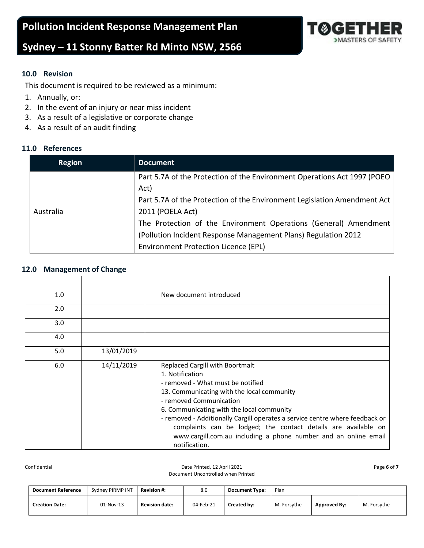# **Sydney – 11 Stonny Batter Rd Minto NSW, 2566**

# >MASTERS OF SAFETY

## <span id="page-5-0"></span>**10.0 Revision**

This document is required to be reviewed as a minimum:

- 1. Annually, or:
- 2. In the event of an injury or near miss incident
- 3. As a result of a legislative or corporate change
- 4. As a result of an audit finding

## <span id="page-5-1"></span>**11.0 References**

| <b>Region</b> | <b>Document</b>                                                          |
|---------------|--------------------------------------------------------------------------|
|               | Part 5.7A of the Protection of the Environment Operations Act 1997 (POEO |
|               | Act)                                                                     |
|               | Part 5.7A of the Protection of the Environment Legislation Amendment Act |
| Australia     | 2011 (POELA Act)                                                         |
|               | The Protection of the Environment Operations (General) Amendment         |
|               | (Pollution Incident Response Management Plans) Regulation 2012           |
|               | <b>Environment Protection Licence (EPL)</b>                              |

#### <span id="page-5-2"></span>**12.0 Management of Change**

| 1.0 |            | New document introduced                                                                                                                                                                                                                                                                                                                                                                                                                                    |
|-----|------------|------------------------------------------------------------------------------------------------------------------------------------------------------------------------------------------------------------------------------------------------------------------------------------------------------------------------------------------------------------------------------------------------------------------------------------------------------------|
| 2.0 |            |                                                                                                                                                                                                                                                                                                                                                                                                                                                            |
| 3.0 |            |                                                                                                                                                                                                                                                                                                                                                                                                                                                            |
| 4.0 |            |                                                                                                                                                                                                                                                                                                                                                                                                                                                            |
| 5.0 | 13/01/2019 |                                                                                                                                                                                                                                                                                                                                                                                                                                                            |
| 6.0 | 14/11/2019 | <b>Replaced Cargill with Boortmalt</b><br>1. Notification<br>- removed - What must be notified<br>13. Communicating with the local community<br>- removed Communication<br>6. Communicating with the local community<br>- removed - Additionally Cargill operates a service centre where feedback or<br>complaints can be lodged; the contact details are available on<br>www.cargill.com.au including a phone number and an online email<br>notification. |

Confidential Date Printed, 12 April 2021 Page **6** of **7**  Document Uncontrolled when Printed

| <b>Document Reference</b> | Sydney PIRMP INT | <b>Revision #:</b>    | 8.0       | <b>Document Type:</b> | Plan        |                     |             |
|---------------------------|------------------|-----------------------|-----------|-----------------------|-------------|---------------------|-------------|
| <b>Creation Date:</b>     | 01-Nov-13        | <b>Revision date:</b> | 04-Feb-21 | Created by:           | M. Forsythe | <b>Approved By:</b> | M. Forsythe |